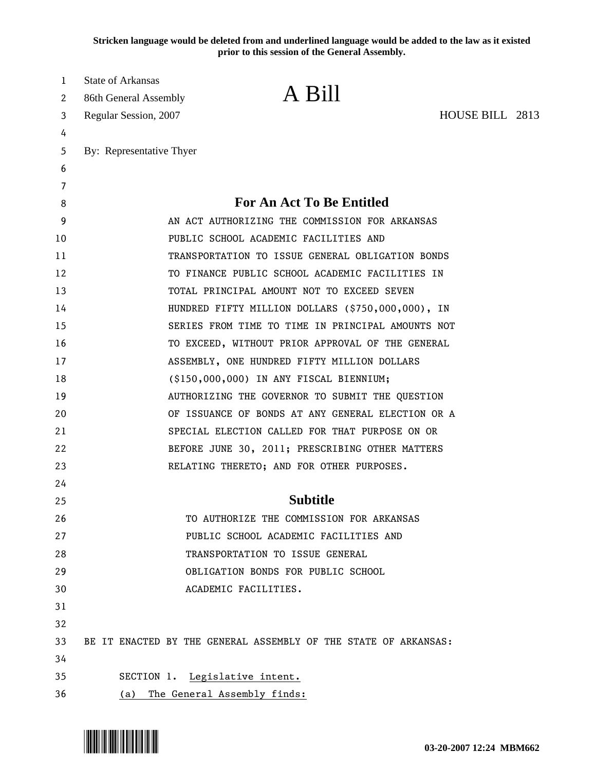**Stricken language would be deleted from and underlined language would be added to the law as it existed prior to this session of the General Assembly.**

| 1<br>2 | <b>State of Arkansas</b><br>86th General Assembly | A Bill                                                          |                 |  |
|--------|---------------------------------------------------|-----------------------------------------------------------------|-----------------|--|
| 3      | Regular Session, 2007                             |                                                                 | HOUSE BILL 2813 |  |
| 4      |                                                   |                                                                 |                 |  |
| 5      | By: Representative Thyer                          |                                                                 |                 |  |
| 6      |                                                   |                                                                 |                 |  |
| 7      |                                                   |                                                                 |                 |  |
| 8      |                                                   | <b>For An Act To Be Entitled</b>                                |                 |  |
| 9      |                                                   | AN ACT AUTHORIZING THE COMMISSION FOR ARKANSAS                  |                 |  |
| 10     |                                                   | PUBLIC SCHOOL ACADEMIC FACILITIES AND                           |                 |  |
| 11     |                                                   | TRANSPORTATION TO ISSUE GENERAL OBLIGATION BONDS                |                 |  |
| 12     |                                                   | TO FINANCE PUBLIC SCHOOL ACADEMIC FACILITIES IN                 |                 |  |
| 13     |                                                   | TOTAL PRINCIPAL AMOUNT NOT TO EXCEED SEVEN                      |                 |  |
| 14     |                                                   | HUNDRED FIFTY MILLION DOLLARS (\$750,000,000), IN               |                 |  |
| 15     |                                                   | SERIES FROM TIME TO TIME IN PRINCIPAL AMOUNTS NOT               |                 |  |
| 16     |                                                   | TO EXCEED, WITHOUT PRIOR APPROVAL OF THE GENERAL                |                 |  |
| 17     |                                                   | ASSEMBLY, ONE HUNDRED FIFTY MILLION DOLLARS                     |                 |  |
| 18     |                                                   | (\$150,000,000) IN ANY FISCAL BIENNIUM;                         |                 |  |
| 19     |                                                   | AUTHORIZING THE GOVERNOR TO SUBMIT THE QUESTION                 |                 |  |
| 20     |                                                   | OF ISSUANCE OF BONDS AT ANY GENERAL ELECTION OR A               |                 |  |
| 21     |                                                   | SPECIAL ELECTION CALLED FOR THAT PURPOSE ON OR                  |                 |  |
| 22     |                                                   | BEFORE JUNE 30, 2011; PRESCRIBING OTHER MATTERS                 |                 |  |
| 23     |                                                   | RELATING THERETO; AND FOR OTHER PURPOSES.                       |                 |  |
| 24     |                                                   |                                                                 |                 |  |
| 25     |                                                   | <b>Subtitle</b>                                                 |                 |  |
| 26     |                                                   | TO AUTHORIZE THE COMMISSION FOR ARKANSAS                        |                 |  |
| 27     |                                                   | PUBLIC SCHOOL ACADEMIC FACILITIES AND                           |                 |  |
| 28     |                                                   | TRANSPORTATION TO ISSUE GENERAL                                 |                 |  |
| 29     |                                                   | OBLIGATION BONDS FOR PUBLIC SCHOOL                              |                 |  |
| 30     |                                                   | ACADEMIC FACILITIES.                                            |                 |  |
| 31     |                                                   |                                                                 |                 |  |
| 32     |                                                   |                                                                 |                 |  |
| 33     |                                                   | BE IT ENACTED BY THE GENERAL ASSEMBLY OF THE STATE OF ARKANSAS: |                 |  |
| 34     |                                                   |                                                                 |                 |  |
| 35     |                                                   | SECTION 1. Legislative intent.                                  |                 |  |
| 36     | (a)                                               | The General Assembly finds:                                     |                 |  |

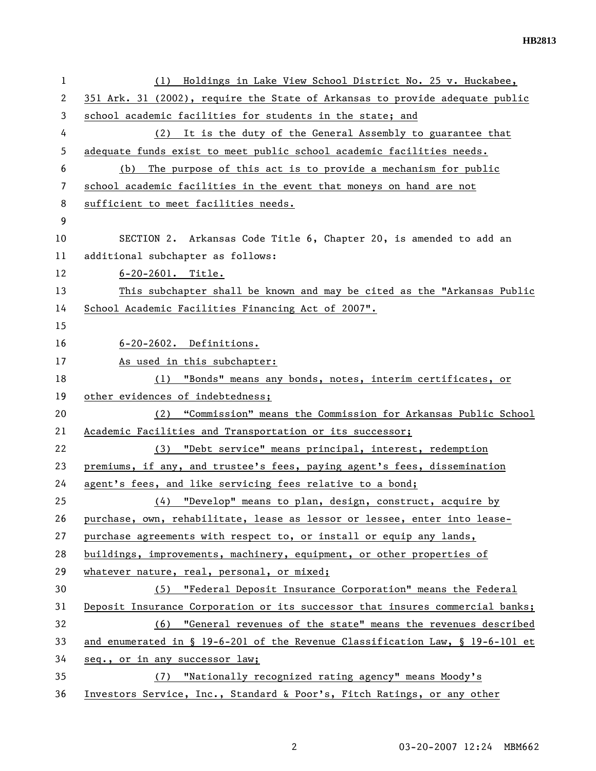| 1  | Holdings in Lake View School District No. 25 v. Huckabee,<br>(1)              |
|----|-------------------------------------------------------------------------------|
| 2  | 351 Ark. 31 (2002), require the State of Arkansas to provide adequate public  |
| 3  | school academic facilities for students in the state; and                     |
| 4  | (2) It is the duty of the General Assembly to guarantee that                  |
| 5  | adequate funds exist to meet public school academic facilities needs.         |
| 6  | The purpose of this act is to provide a mechanism for public<br>(b)           |
| 7  | school academic facilities in the event that moneys on hand are not           |
| 8  | sufficient to meet facilities needs.                                          |
| 9  |                                                                               |
| 10 | SECTION 2. Arkansas Code Title 6, Chapter 20, is amended to add an            |
| 11 | additional subchapter as follows:                                             |
| 12 | $6 - 20 - 2601$ . Title.                                                      |
| 13 | This subchapter shall be known and may be cited as the "Arkansas Public       |
| 14 | School Academic Facilities Financing Act of 2007".                            |
| 15 |                                                                               |
| 16 | 6-20-2602. Definitions.                                                       |
| 17 | As used in this subchapter:                                                   |
| 18 | "Bonds" means any bonds, notes, interim certificates, or<br>(1)               |
| 19 | other evidences of indebtedness;                                              |
| 20 | "Commission" means the Commission for Arkansas Public School<br>(2)           |
| 21 | Academic Facilities and Transportation or its successor;                      |
| 22 | (3) "Debt service" means principal, interest, redemption                      |
| 23 | premiums, if any, and trustee's fees, paying agent's fees, dissemination      |
| 24 | agent's fees, and like servicing fees relative to a bond;                     |
| 25 | (4) "Develop" means to plan, design, construct, acquire by                    |
| 26 | purchase, own, rehabilitate, lease as lessor or lessee, enter into lease-     |
| 27 | purchase agreements with respect to, or install or equip any lands,           |
| 28 | buildings, improvements, machinery, equipment, or other properties of         |
| 29 | whatever nature, real, personal, or mixed;                                    |
| 30 | (5) "Federal Deposit Insurance Corporation" means the Federal                 |
| 31 | Deposit Insurance Corporation or its successor that insures commercial banks; |
| 32 | (6) "General revenues of the state" means the revenues described              |
| 33 | and enumerated in § 19-6-201 of the Revenue Classification Law, § 19-6-101 et |
| 34 | seq., or in any successor law;                                                |
| 35 | "Nationally recognized rating agency" means Moody's<br>(7)                    |
| 36 | Investors Service, Inc., Standard & Poor's, Fitch Ratings, or any other       |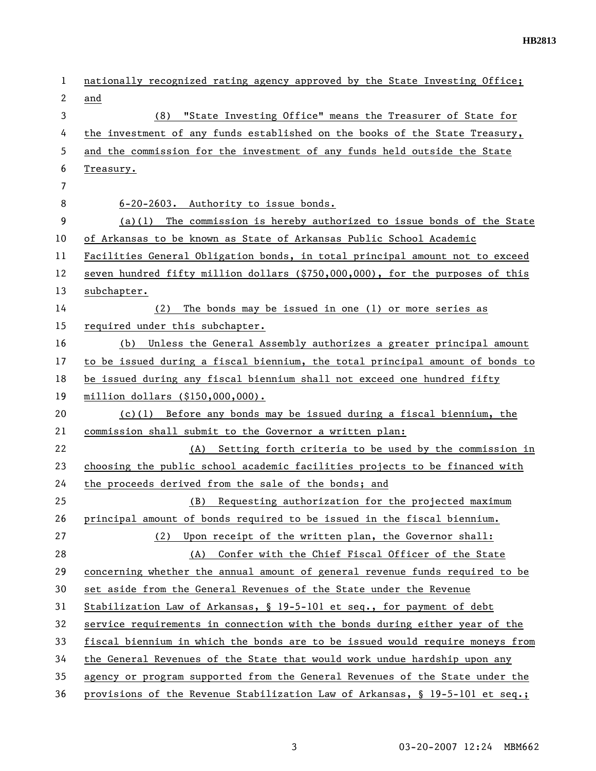| $\mathbf{1}$   | nationally recognized rating agency approved by the State Investing Office;   |
|----------------|-------------------------------------------------------------------------------|
| 2              | and                                                                           |
| 3              | (8) "State Investing Office" means the Treasurer of State for                 |
| 4              | the investment of any funds established on the books of the State Treasury,   |
| 5              | and the commission for the investment of any funds held outside the State     |
| 6              | Treasury.                                                                     |
| $\overline{7}$ |                                                                               |
| 8              | 6-20-2603. Authority to issue bonds.                                          |
| 9              | $(a)(1)$ The commission is hereby authorized to issue bonds of the State      |
| 10             | of Arkansas to be known as State of Arkansas Public School Academic           |
| 11             | Facilities General Obligation bonds, in total principal amount not to exceed  |
| 12             | seven hundred fifty million dollars (\$750,000,000), for the purposes of this |
| 13             | subchapter.                                                                   |
| 14             | The bonds may be issued in one (1) or more series as<br>(2)                   |
| 15             | required under this subchapter.                                               |
| 16             | Unless the General Assembly authorizes a greater principal amount<br>(b)      |
| 17             | to be issued during a fiscal biennium, the total principal amount of bonds to |
| 18             | be issued during any fiscal biennium shall not exceed one hundred fifty       |
| 19             | million dollars (\$150,000,000).                                              |
| 20             | $(c)(1)$ Before any bonds may be issued during a fiscal biennium, the         |
| 21             | commission shall submit to the Governor a written plan:                       |
| 22             | Setting forth criteria to be used by the commission in<br>(A)                 |
| 23             | choosing the public school academic facilities projects to be financed with   |
| 24             | the proceeds derived from the sale of the bonds; and                          |
| 25             | (B) Requesting authorization for the projected maximum                        |
| 26             | principal amount of bonds required to be issued in the fiscal biennium.       |
| 27             | Upon receipt of the written plan, the Governor shall:<br>(2)                  |
| 28             | Confer with the Chief Fiscal Officer of the State<br>(A)                      |
| 29             | concerning whether the annual amount of general revenue funds required to be  |
| 30             | set aside from the General Revenues of the State under the Revenue            |
| 31             | Stabilization Law of Arkansas, § 19-5-101 et seq., for payment of debt        |
| 32             | service requirements in connection with the bonds during either year of the   |
| 33             | fiscal biennium in which the bonds are to be issued would require moneys from |
| 34             | the General Revenues of the State that would work undue hardship upon any     |
| 35             | agency or program supported from the General Revenues of the State under the  |
| 36             | provisions of the Revenue Stabilization Law of Arkansas, § 19-5-101 et seq.;  |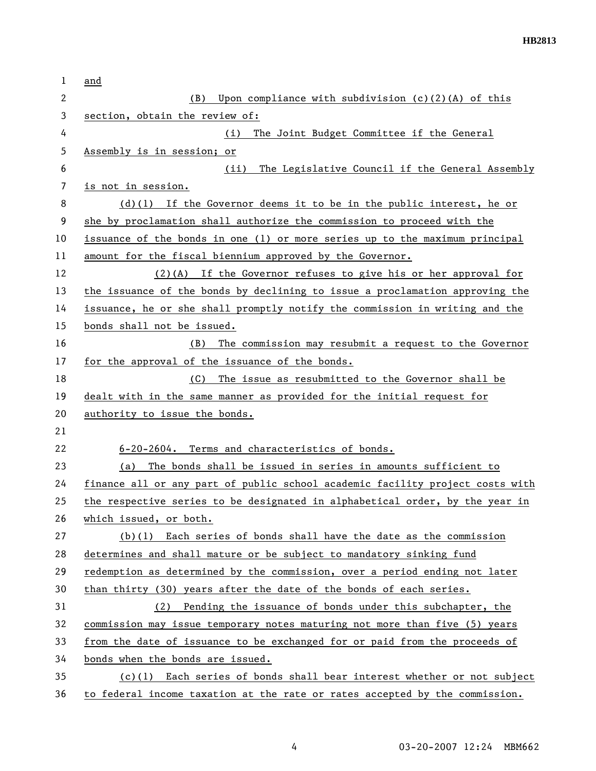| 1  | and                                                                           |
|----|-------------------------------------------------------------------------------|
| 2  | (B) Upon compliance with subdivision (c)(2)(A) of this                        |
| 3  | section, obtain the review of:                                                |
| 4  | The Joint Budget Committee if the General<br>(i)                              |
| 5  | Assembly is in session; or                                                    |
| 6  | The Legislative Council if the General Assembly<br>(ii)                       |
| 7  | is not in session.                                                            |
| 8  | $(d)(1)$ If the Governor deems it to be in the public interest, he or         |
| 9  | she by proclamation shall authorize the commission to proceed with the        |
| 10 | issuance of the bonds in one (1) or more series up to the maximum principal   |
| 11 | amount for the fiscal biennium approved by the Governor.                      |
| 12 | $(2)(A)$ If the Governor refuses to give his or her approval for              |
| 13 | the issuance of the bonds by declining to issue a proclamation approving the  |
| 14 | issuance, he or she shall promptly notify the commission in writing and the   |
| 15 | bonds shall not be issued.                                                    |
| 16 | The commission may resubmit a request to the Governor<br>(B)                  |
| 17 | for the approval of the issuance of the bonds.                                |
| 18 | The issue as resubmitted to the Governor shall be<br>(C)                      |
| 19 | dealt with in the same manner as provided for the initial request for         |
| 20 | authority to issue the bonds.                                                 |
| 21 |                                                                               |
| 22 | 6-20-2604. Terms and characteristics of bonds.                                |
| 23 | The bonds shall be issued in series in amounts sufficient to<br>(a)           |
| 24 | finance all or any part of public school academic facility project costs with |
| 25 | the respective series to be designated in alphabetical order, by the year in  |
| 26 | which issued, or both.                                                        |
| 27 | $(b)(1)$ Each series of bonds shall have the date as the commission           |
| 28 | determines and shall mature or be subject to mandatory sinking fund           |
| 29 | redemption as determined by the commission, over a period ending not later    |
| 30 | than thirty (30) years after the date of the bonds of each series.            |
| 31 | (2) Pending the issuance of bonds under this subchapter, the                  |
| 32 | commission may issue temporary notes maturing not more than five (5) years    |
| 33 | from the date of issuance to be exchanged for or paid from the proceeds of    |
| 34 | bonds when the bonds are issued.                                              |
| 35 | (c)(1) Each series of bonds shall bear interest whether or not subject        |
| 36 | to federal income taxation at the rate or rates accepted by the commission.   |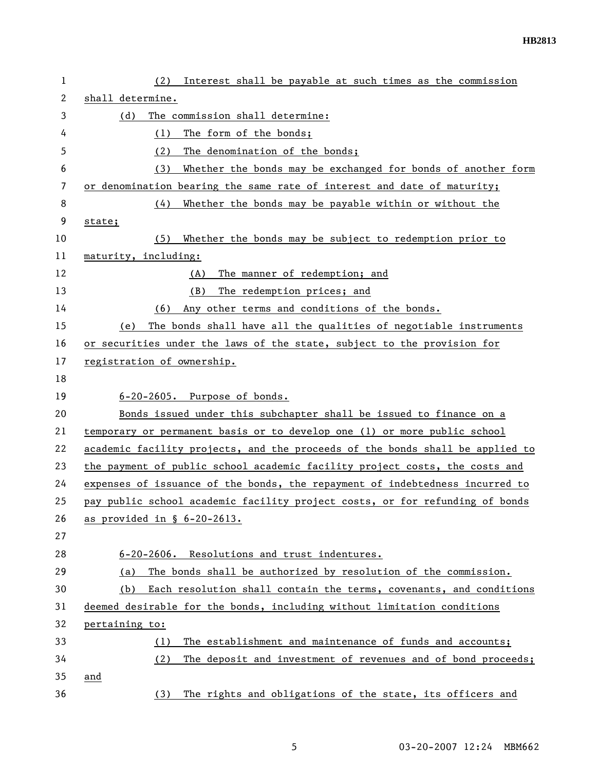| $\mathbf 1$ | Interest shall be payable at such times as the commission<br>(2)              |
|-------------|-------------------------------------------------------------------------------|
| 2           | shall determine.                                                              |
| 3           | The commission shall determine:<br>(d)                                        |
| 4           | The form of the bonds;<br>(1)                                                 |
| 5           | The denomination of the bonds;<br>(2)                                         |
| 6           | Whether the bonds may be exchanged for bonds of another form<br>(3)           |
| 7           | or denomination bearing the same rate of interest and date of maturity;       |
| 8           | Whether the bonds may be payable within or without the<br>(4)                 |
| 9           | state;                                                                        |
| 10          | Whether the bonds may be subject to redemption prior to<br>(5)                |
| 11          | maturity, including:                                                          |
| 12          | The manner of redemption; and<br>(A)                                          |
| 13          | The redemption prices; and<br>(B)                                             |
| 14          | Any other terms and conditions of the bonds.<br>(6)                           |
| 15          | The bonds shall have all the qualities of negotiable instruments<br>(e)       |
| 16          | or securities under the laws of the state, subject to the provision for       |
| 17          | registration of ownership.                                                    |
| 18          |                                                                               |
| 19          | 6-20-2605. Purpose of bonds.                                                  |
| 20          | Bonds issued under this subchapter shall be issued to finance on a            |
| 21          | temporary or permanent basis or to develop one (1) or more public school      |
| 22          | academic facility projects, and the proceeds of the bonds shall be applied to |
| 23          | the payment of public school academic facility project costs, the costs and   |
| 24          | expenses of issuance of the bonds, the repayment of indebtedness incurred to  |
| 25          | pay public school academic facility project costs, or for refunding of bonds  |
| 26          | as provided in § 6-20-2613.                                                   |
| 27          |                                                                               |
| 28          | Resolutions and trust indentures.<br>$6 - 20 - 2606$ .                        |
| 29          | The bonds shall be authorized by resolution of the commission.<br>(a)         |
| 30          | Each resolution shall contain the terms, covenants, and conditions<br>(b)     |
| 31          | deemed desirable for the bonds, including without limitation conditions       |
| 32          | pertaining to:                                                                |
| 33          | The establishment and maintenance of funds and accounts;<br>(1)               |
| 34          | (2)<br>The deposit and investment of revenues and of bond proceeds;           |
| 35          | and                                                                           |
| 36          | The rights and obligations of the state, its officers and<br>(3)              |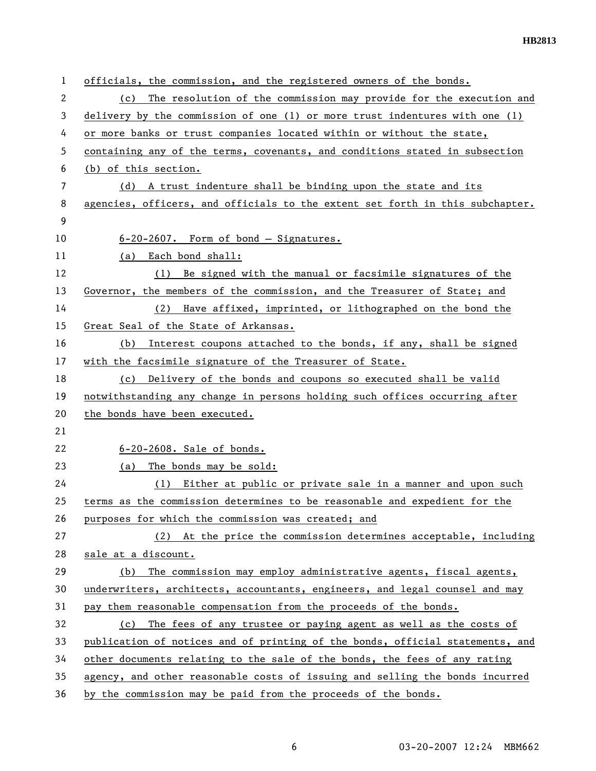| $\mathbf{1}$ | officials, the commission, and the registered owners of the bonds.            |
|--------------|-------------------------------------------------------------------------------|
| 2            | The resolution of the commission may provide for the execution and<br>(c)     |
| 3            | delivery by the commission of one (1) or more trust indentures with one (1)   |
| 4            | or more banks or trust companies located within or without the state,         |
| 5            | containing any of the terms, covenants, and conditions stated in subsection   |
| 6            | (b) of this section.                                                          |
| 7            | (d) A trust indenture shall be binding upon the state and its                 |
| 8            | agencies, officers, and officials to the extent set forth in this subchapter. |
| 9            |                                                                               |
| 10           | 6-20-2607. Form of bond - Signatures.                                         |
| 11           | (a) Each bond shall:                                                          |
| 12           | (1) Be signed with the manual or facsimile signatures of the                  |
| 13           | Governor, the members of the commission, and the Treasurer of State; and      |
| 14           | Have affixed, imprinted, or lithographed on the bond the<br>(2)               |
| 15           | Great Seal of the State of Arkansas.                                          |
| 16           | Interest coupons attached to the bonds, if any, shall be signed<br>(b)        |
| 17           | with the facsimile signature of the Treasurer of State.                       |
| 18           | Delivery of the bonds and coupons so executed shall be valid<br>(c)           |
| 19           | notwithstanding any change in persons holding such offices occurring after    |
| 20           | the bonds have been executed.                                                 |
| 21           |                                                                               |
| 22           | 6-20-2608. Sale of bonds.                                                     |
| 23           | The bonds may be sold:<br>(a)                                                 |
| 24           | Either at public or private sale in a manner and upon such<br>(1)             |
| 25           | terms as the commission determines to be reasonable and expedient for the     |
| 26           | purposes for which the commission was created; and                            |
| 27           | (2) At the price the commission determines acceptable, including              |
| 28           | sale at a discount.                                                           |
| 29           | The commission may employ administrative agents, fiscal agents,<br>(b)        |
| 30           | underwriters, architects, accountants, engineers, and legal counsel and may   |
| 31           | pay them reasonable compensation from the proceeds of the bonds.              |
| 32           | (c) The fees of any trustee or paying agent as well as the costs of           |
| 33           | publication of notices and of printing of the bonds, official statements, and |
| 34           | other documents relating to the sale of the bonds, the fees of any rating     |
| 35           | agency, and other reasonable costs of issuing and selling the bonds incurred  |
| 36           | by the commission may be paid from the proceeds of the bonds.                 |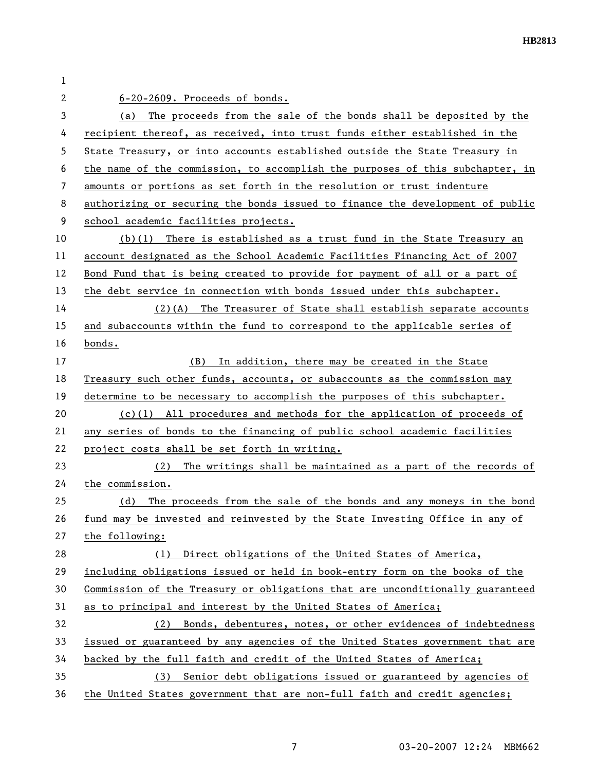| 1  |                                                                               |
|----|-------------------------------------------------------------------------------|
| 2  | 6-20-2609. Proceeds of bonds.                                                 |
| 3  | The proceeds from the sale of the bonds shall be deposited by the<br>(a)      |
| 4  | recipient thereof, as received, into trust funds either established in the    |
| 5  | State Treasury, or into accounts established outside the State Treasury in    |
| 6  | the name of the commission, to accomplish the purposes of this subchapter, in |
| 7  | amounts or portions as set forth in the resolution or trust indenture         |
| 8  | authorizing or securing the bonds issued to finance the development of public |
| 9  | school academic facilities projects.                                          |
| 10 | $(b)(1)$ There is established as a trust fund in the State Treasury an        |
| 11 | account designated as the School Academic Facilities Financing Act of 2007    |
| 12 | Bond Fund that is being created to provide for payment of all or a part of    |
| 13 | the debt service in connection with bonds issued under this subchapter.       |
| 14 | (2)(A) The Treasurer of State shall establish separate accounts               |
| 15 | and subaccounts within the fund to correspond to the applicable series of     |
| 16 | bonds.                                                                        |
| 17 | (B) In addition, there may be created in the State                            |
| 18 | Treasury such other funds, accounts, or subaccounts as the commission may     |
| 19 | determine to be necessary to accomplish the purposes of this subchapter.      |
| 20 | $(c)(1)$ All procedures and methods for the application of proceeds of        |
| 21 | any series of bonds to the financing of public school academic facilities     |
| 22 | project costs shall be set forth in writing.                                  |
| 23 | The writings shall be maintained as a part of the records of<br>(2)           |
| 24 | the commission.                                                               |
| 25 | The proceeds from the sale of the bonds and any moneys in the bond<br>(d)     |
| 26 | fund may be invested and reinvested by the State Investing Office in any of   |
| 27 | the following:                                                                |
| 28 | Direct obligations of the United States of America,<br>(1)                    |
| 29 | including obligations issued or held in book-entry form on the books of the   |
| 30 | Commission of the Treasury or obligations that are unconditionally guaranteed |
| 31 | as to principal and interest by the United States of America;                 |
| 32 | (2) Bonds, debentures, notes, or other evidences of indebtedness              |
| 33 | issued or guaranteed by any agencies of the United States government that are |
| 34 | backed by the full faith and credit of the United States of America;          |
| 35 | Senior debt obligations issued or guaranteed by agencies of<br>(3)            |
| 36 | the United States government that are non-full faith and credit agencies;     |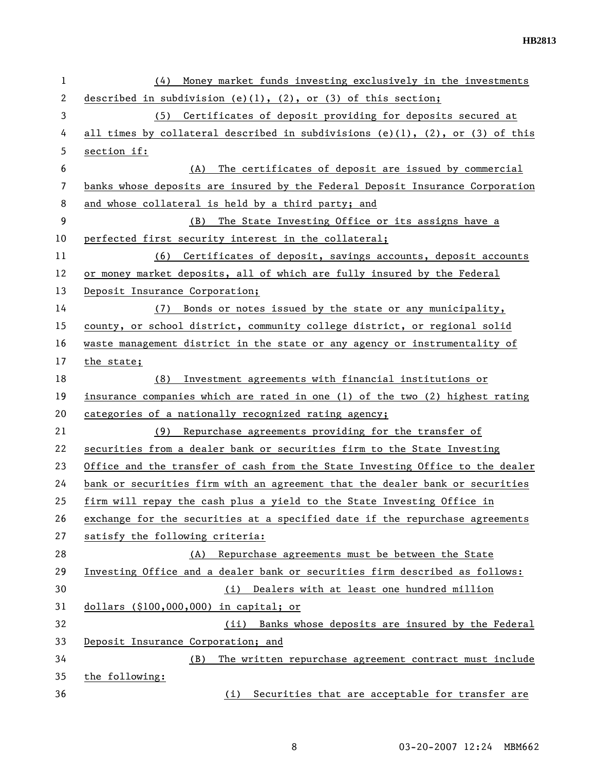| 1  | Money market funds investing exclusively in the investments<br>(4)            |
|----|-------------------------------------------------------------------------------|
| 2  | described in subdivision (e)(1), (2), or (3) of this section;                 |
| 3  | (5) Certificates of deposit providing for deposits secured at                 |
| 4  | all times by collateral described in subdivisions (e)(1), (2), or (3) of this |
| 5  | section if:                                                                   |
| 6  | The certificates of deposit are issued by commercial<br>(A)                   |
| 7  | banks whose deposits are insured by the Federal Deposit Insurance Corporation |
| 8  | and whose collateral is held by a third party; and                            |
| 9  | (B) The State Investing Office or its assigns have a                          |
| 10 | perfected first security interest in the collateral;                          |
| 11 | (6) Certificates of deposit, savings accounts, deposit accounts               |
| 12 | or money market deposits, all of which are fully insured by the Federal       |
| 13 | Deposit Insurance Corporation;                                                |
| 14 | (7) Bonds or notes issued by the state or any municipality,                   |
| 15 | county, or school district, community college district, or regional solid     |
| 16 | waste management district in the state or any agency or instrumentality of    |
| 17 | the state;                                                                    |
| 18 | Investment agreements with financial institutions or<br>(8)                   |
| 19 | insurance companies which are rated in one (1) of the two (2) highest rating  |
| 20 | categories of a nationally recognized rating agency;                          |
| 21 | (9) Repurchase agreements providing for the transfer of                       |
| 22 | securities from a dealer bank or securities firm to the State Investing       |
| 23 | Office and the transfer of cash from the State Investing Office to the dealer |
| 24 | bank or securities firm with an agreement that the dealer bank or securities  |
| 25 | firm will repay the cash plus a yield to the State Investing Office in        |
| 26 | exchange for the securities at a specified date if the repurchase agreements  |
| 27 | satisfy the following criteria:                                               |
| 28 | Repurchase agreements must be between the State<br>(A)                        |
| 29 | Investing Office and a dealer bank or securities firm described as follows:   |
| 30 | Dealers with at least one hundred million<br>(i)                              |
| 31 | dollars (\$100,000,000) in capital; or                                        |
| 32 | (ii) Banks whose deposits are insured by the Federal                          |
| 33 | Deposit Insurance Corporation; and                                            |
| 34 | The written repurchase agreement contract must include<br>(B)                 |
| 35 | the following:                                                                |
| 36 | Securities that are acceptable for transfer are<br>(i)                        |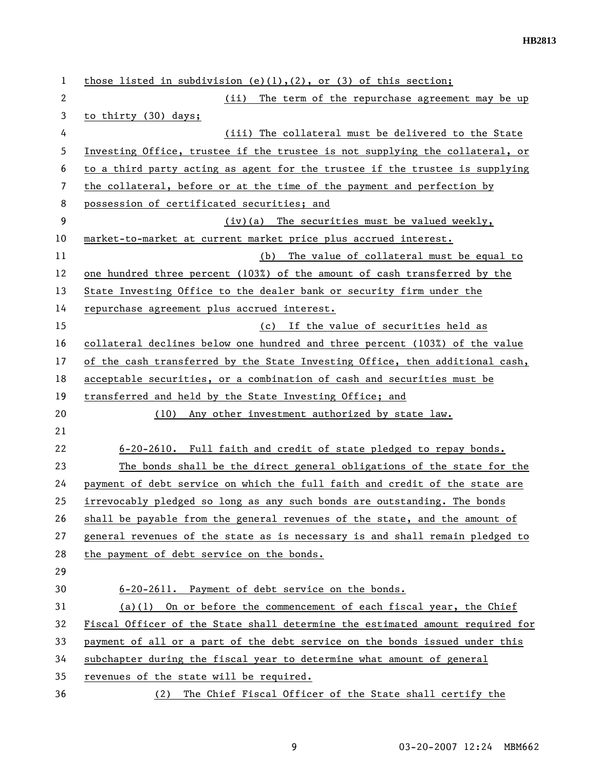| 1  | those listed in subdivision (e)(1),(2), or (3) of this section;               |
|----|-------------------------------------------------------------------------------|
| 2  | The term of the repurchase agreement may be up<br>(ii)                        |
| 3  | to thirty (30) days;                                                          |
| 4  | (iii) The collateral must be delivered to the State                           |
| 5  | Investing Office, trustee if the trustee is not supplying the collateral, or  |
| 6  | to a third party acting as agent for the trustee if the trustee is supplying  |
| 7  | the collateral, before or at the time of the payment and perfection by        |
| 8  | possession of certificated securities; and                                    |
| 9  | $(iv)$ (a) The securities must be valued weekly,                              |
| 10 | market-to-market at current market price plus accrued interest.               |
| 11 | (b) The value of collateral must be equal to                                  |
| 12 | one hundred three percent (103%) of the amount of cash transferred by the     |
| 13 | State Investing Office to the dealer bank or security firm under the          |
| 14 | repurchase agreement plus accrued interest.                                   |
| 15 | (c) If the value of securities held as                                        |
| 16 | collateral declines below one hundred and three percent (103%) of the value   |
| 17 | of the cash transferred by the State Investing Office, then additional cash,  |
| 18 | acceptable securities, or a combination of cash and securities must be        |
| 19 | transferred and held by the State Investing Office; and                       |
| 20 | Any other investment authorized by state law.<br>(10)                         |
| 21 |                                                                               |
| 22 | 6-20-2610. Full faith and credit of state pledged to repay bonds.             |
| 23 | The bonds shall be the direct general obligations of the state for the        |
| 24 | payment of debt service on which the full faith and credit of the state are   |
| 25 | irrevocably pledged so long as any such bonds are outstanding. The bonds      |
| 26 | shall be payable from the general revenues of the state, and the amount of    |
| 27 | general revenues of the state as is necessary is and shall remain pledged to  |
| 28 | the payment of debt service on the bonds.                                     |
| 29 |                                                                               |
| 30 | 6-20-2611. Payment of debt service on the bonds.                              |
| 31 | $(a)(1)$ On or before the commencement of each fiscal year, the Chief         |
| 32 | Fiscal Officer of the State shall determine the estimated amount required for |
| 33 | payment of all or a part of the debt service on the bonds issued under this   |
| 34 | subchapter during the fiscal year to determine what amount of general         |
| 35 | revenues of the state will be required.                                       |
| 36 | The Chief Fiscal Officer of the State shall certify the<br>(2)                |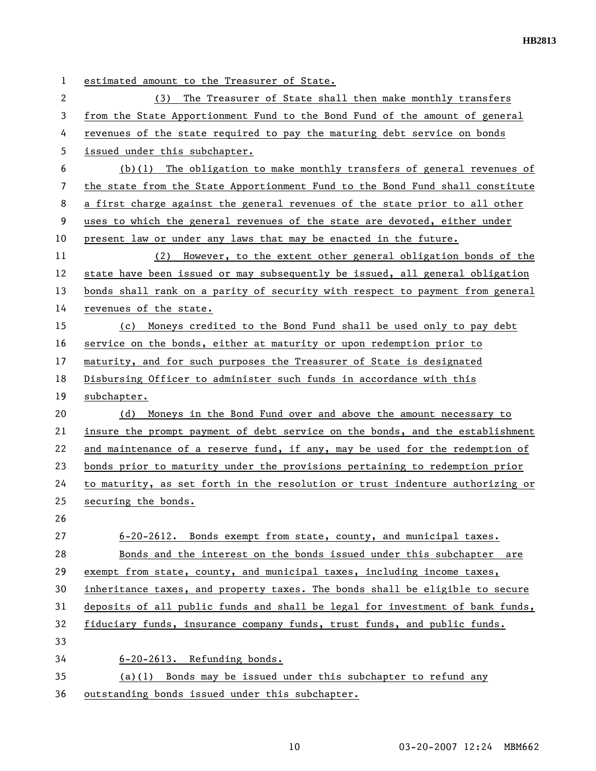| 1  | estimated amount to the Treasurer of State.                                   |
|----|-------------------------------------------------------------------------------|
| 2  | The Treasurer of State shall then make monthly transfers<br>(3)               |
| 3  | from the State Apportionment Fund to the Bond Fund of the amount of general   |
| 4  | revenues of the state required to pay the maturing debt service on bonds      |
| 5  | issued under this subchapter.                                                 |
| 6  | $(b)(1)$ The obligation to make monthly transfers of general revenues of      |
| 7  | the state from the State Apportionment Fund to the Bond Fund shall constitute |
| 8  | a first charge against the general revenues of the state prior to all other   |
| 9  | uses to which the general revenues of the state are devoted, either under     |
| 10 | present law or under any laws that may be enacted in the future.              |
| 11 | (2) However, to the extent other general obligation bonds of the              |
| 12 | state have been issued or may subsequently be issued, all general obligation  |
| 13 | bonds shall rank on a parity of security with respect to payment from general |
| 14 | revenues of the state.                                                        |
| 15 | (c) Moneys credited to the Bond Fund shall be used only to pay debt           |
| 16 | service on the bonds, either at maturity or upon redemption prior to          |
| 17 | maturity, and for such purposes the Treasurer of State is designated          |
| 18 | Disbursing Officer to administer such funds in accordance with this           |
| 19 | subchapter.                                                                   |
| 20 | Moneys in the Bond Fund over and above the amount necessary to<br>(d)         |
| 21 | insure the prompt payment of debt service on the bonds, and the establishment |
| 22 | and maintenance of a reserve fund, if any, may be used for the redemption of  |
| 23 | bonds prior to maturity under the provisions pertaining to redemption prior   |
| 24 | to maturity, as set forth in the resolution or trust indenture authorizing or |
| 25 | securing the bonds.                                                           |
| 26 |                                                                               |
| 27 | 6-20-2612. Bonds exempt from state, county, and municipal taxes.              |
| 28 | Bonds and the interest on the bonds issued under this subchapter are          |
| 29 | exempt from state, county, and municipal taxes, including income taxes,       |
| 30 | inheritance taxes, and property taxes. The bonds shall be eligible to secure  |
| 31 | deposits of all public funds and shall be legal for investment of bank funds, |
| 32 | fiduciary funds, insurance company funds, trust funds, and public funds.      |
| 33 |                                                                               |
| 34 | 6-20-2613. Refunding bonds.                                                   |
| 35 | (a)(1) Bonds may be issued under this subchapter to refund any                |
| 36 | outstanding bonds issued under this subchapter.                               |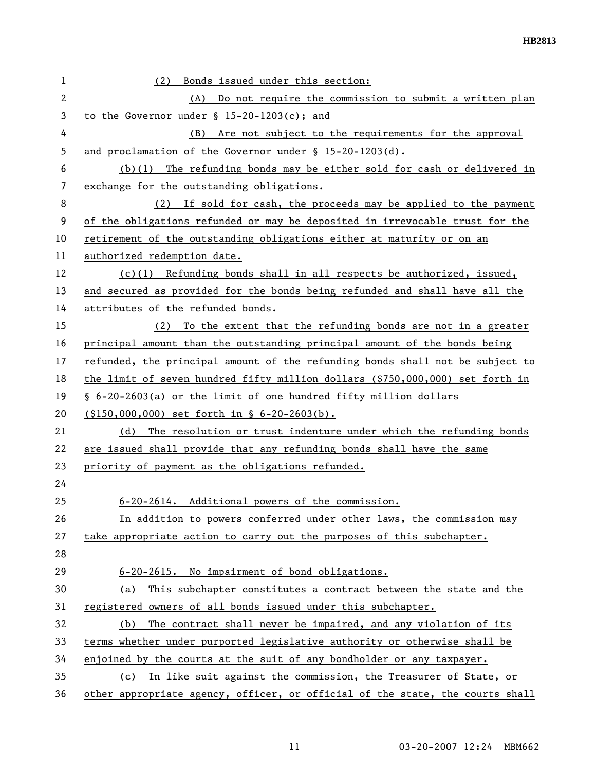| 1  | Bonds issued under this section:<br>(2)                                       |
|----|-------------------------------------------------------------------------------|
| 2  | (A) Do not require the commission to submit a written plan                    |
| 3  | to the Governor under $\S$ 15-20-1203(c); and                                 |
| 4  | Are not subject to the requirements for the approval<br>(B)                   |
| 5  | and proclamation of the Governor under $\S$ 15-20-1203(d).                    |
| 6  | (b)(1) The refunding bonds may be either sold for cash or delivered in        |
| 7  | exchange for the outstanding obligations.                                     |
| 8  | (2) If sold for cash, the proceeds may be applied to the payment              |
| 9  | of the obligations refunded or may be deposited in irrevocable trust for the  |
| 10 | retirement of the outstanding obligations either at maturity or on an         |
| 11 | authorized redemption date.                                                   |
| 12 | $(c)(1)$ Refunding bonds shall in all respects be authorized, issued,         |
| 13 | and secured as provided for the bonds being refunded and shall have all the   |
| 14 | attributes of the refunded bonds.                                             |
| 15 | To the extent that the refunding bonds are not in a greater<br>(2)            |
| 16 | principal amount than the outstanding principal amount of the bonds being     |
| 17 | refunded, the principal amount of the refunding bonds shall not be subject to |
| 18 | the limit of seven hundred fifty million dollars (\$750,000,000) set forth in |
| 19 | § 6-20-2603(a) or the limit of one hundred fifty million dollars              |
| 20 | $(150,000,000)$ set forth in § 6-20-2603(b).                                  |
| 21 | The resolution or trust indenture under which the refunding bonds<br>(d)      |
| 22 | are issued shall provide that any refunding bonds shall have the same         |
| 23 | priority of payment as the obligations refunded.                              |
| 24 |                                                                               |
| 25 | 6-20-2614. Additional powers of the commission.                               |
| 26 | In addition to powers conferred under other laws, the commission may          |
| 27 | take appropriate action to carry out the purposes of this subchapter.         |
| 28 |                                                                               |
| 29 | 6-20-2615. No impairment of bond obligations.                                 |
| 30 | This subchapter constitutes a contract between the state and the<br>(a)       |
| 31 | registered owners of all bonds issued under this subchapter.                  |
| 32 | The contract shall never be impaired, and any violation of its<br>(b)         |
| 33 | terms whether under purported legislative authority or otherwise shall be     |
| 34 | enjoined by the courts at the suit of any bondholder or any taxpayer.         |
| 35 | In like suit against the commission, the Treasurer of State, or<br>(c)        |
| 36 | other appropriate agency, officer, or official of the state, the courts shall |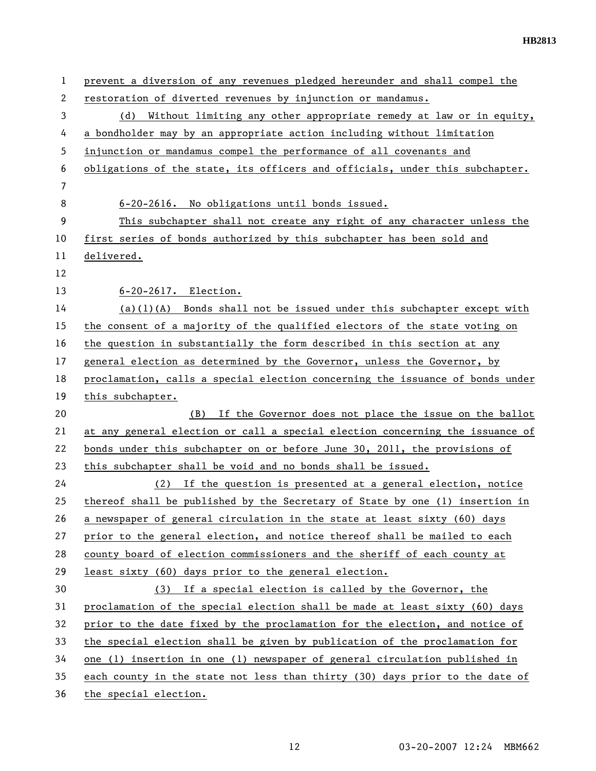| 1              | prevent a diversion of any revenues pledged hereunder and shall compel the    |
|----------------|-------------------------------------------------------------------------------|
| 2              | restoration of diverted revenues by injunction or mandamus.                   |
| 3              | (d) Without limiting any other appropriate remedy at law or in equity,        |
| 4              | a bondholder may by an appropriate action including without limitation        |
| 5              | injunction or mandamus compel the performance of all covenants and            |
| 6              | obligations of the state, its officers and officials, under this subchapter.  |
| $\overline{7}$ |                                                                               |
| 8              | 6-20-2616. No obligations until bonds issued.                                 |
| 9              | This subchapter shall not create any right of any character unless the        |
| 10             | first series of bonds authorized by this subchapter has been sold and         |
| 11             | delivered.                                                                    |
| 12             |                                                                               |
| 13             | 6-20-2617. Election.                                                          |
| 14             | $(a)(1)(A)$ Bonds shall not be issued under this subchapter except with       |
| 15             | the consent of a majority of the qualified electors of the state voting on    |
| 16             | the question in substantially the form described in this section at any       |
| 17             | general election as determined by the Governor, unless the Governor, by       |
| 18             | proclamation, calls a special election concerning the issuance of bonds under |
| 19             | this subchapter.                                                              |
| 20             | (B) If the Governor does not place the issue on the ballot                    |
| 21             | at any general election or call a special election concerning the issuance of |
| 22             | bonds under this subchapter on or before June 30, 2011, the provisions of     |
| 23             | this subchapter shall be void and no bonds shall be issued.                   |
| 24             | (2) If the question is presented at a general election, notice                |
| 25             | thereof shall be published by the Secretary of State by one (1) insertion in  |
| 26             | a newspaper of general circulation in the state at least sixty (60) days      |
| 27             | prior to the general election, and notice thereof shall be mailed to each     |
| 28             | county board of election commissioners and the sheriff of each county at      |
| 29             | least sixty (60) days prior to the general election.                          |
| 30             | (3) If a special election is called by the Governor, the                      |
| 31             | proclamation of the special election shall be made at least sixty (60) days   |
| 32             | prior to the date fixed by the proclamation for the election, and notice of   |
| 33             | the special election shall be given by publication of the proclamation for    |
| 34             | one (1) insertion in one (1) newspaper of general circulation published in    |
| 35             | each county in the state not less than thirty (30) days prior to the date of  |
| 36             | the special election.                                                         |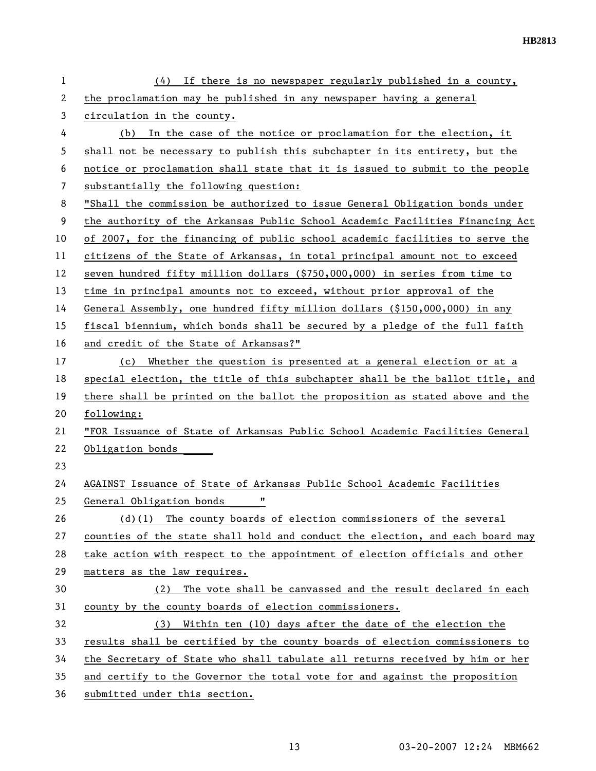| 1  | $(4)$ If there is no newspaper regularly published in a county,               |
|----|-------------------------------------------------------------------------------|
| 2  | the proclamation may be published in any newspaper having a general           |
| 3  | circulation in the county.                                                    |
| 4  | (b) In the case of the notice or proclamation for the election, it            |
| 5  | shall not be necessary to publish this subchapter in its entirety, but the    |
| 6  | notice or proclamation shall state that it is issued to submit to the people  |
| 7  | substantially the following question:                                         |
| 8  | "Shall the commission be authorized to issue General Obligation bonds under   |
| 9  | the authority of the Arkansas Public School Academic Facilities Financing Act |
| 10 | of 2007, for the financing of public school academic facilities to serve the  |
| 11 | citizens of the State of Arkansas, in total principal amount not to exceed    |
| 12 | seven hundred fifty million dollars (\$750,000,000) in series from time to    |
| 13 | time in principal amounts not to exceed, without prior approval of the        |
| 14 | General Assembly, one hundred fifty million dollars (\$150,000,000) in any    |
| 15 | fiscal biennium, which bonds shall be secured by a pledge of the full faith   |
| 16 | and credit of the State of Arkansas?"                                         |
| 17 | (c) Whether the question is presented at a general election or at a           |
| 18 | special election, the title of this subchapter shall be the ballot title, and |
| 19 | there shall be printed on the ballot the proposition as stated above and the  |
| 20 | following:                                                                    |
| 21 | "FOR Issuance of State of Arkansas Public School Academic Facilities General  |
| 22 | Obligation bonds                                                              |
| 23 |                                                                               |
| 24 | AGAINST Issuance of State of Arkansas Public School Academic Facilities       |
| 25 | 11<br>General Obligation bonds                                                |
| 26 | $(d)(1)$ The county boards of election commissioners of the several           |
| 27 | counties of the state shall hold and conduct the election, and each board may |
| 28 | take action with respect to the appointment of election officials and other   |
| 29 | matters as the law requires.                                                  |
| 30 | The vote shall be canvassed and the result declared in each<br>(2)            |
| 31 | county by the county boards of election commissioners.                        |
| 32 | Within ten (10) days after the date of the election the<br>(3)                |
| 33 | results shall be certified by the county boards of election commissioners to  |
| 34 | the Secretary of State who shall tabulate all returns received by him or her  |
| 35 | and certify to the Governor the total vote for and against the proposition    |
| 36 | submitted under this section.                                                 |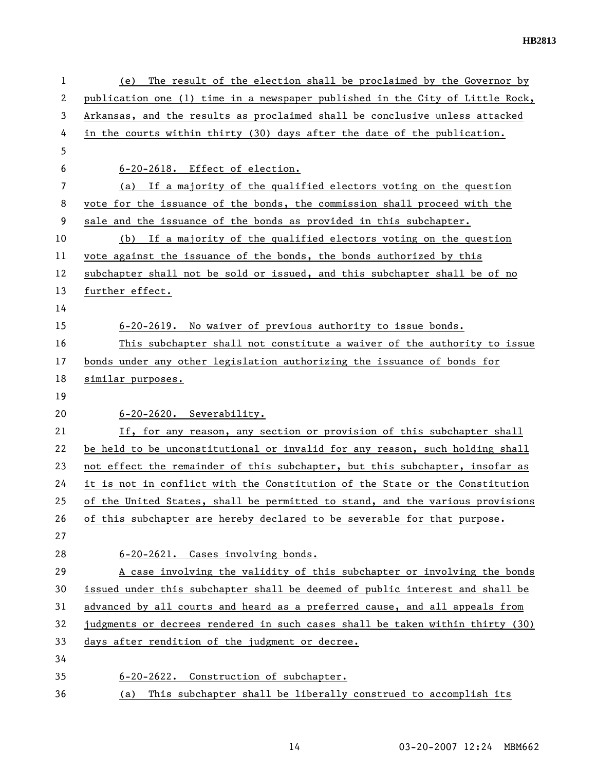| 1  | The result of the election shall be proclaimed by the Governor by<br>(e)      |
|----|-------------------------------------------------------------------------------|
| 2  | publication one (1) time in a newspaper published in the City of Little Rock, |
| 3  | Arkansas, and the results as proclaimed shall be conclusive unless attacked   |
| 4  | in the courts within thirty (30) days after the date of the publication.      |
| 5  |                                                                               |
| 6  | 6-20-2618. Effect of election.                                                |
| 7  | (a) If a majority of the qualified electors voting on the question            |
| 8  | vote for the issuance of the bonds, the commission shall proceed with the     |
| 9  | sale and the issuance of the bonds as provided in this subchapter.            |
| 10 | If a majority of the qualified electors voting on the question<br>(b)         |
| 11 | vote against the issuance of the bonds, the bonds authorized by this          |
| 12 | subchapter shall not be sold or issued, and this subchapter shall be of no    |
| 13 | further effect.                                                               |
| 14 |                                                                               |
| 15 | 6-20-2619. No waiver of previous authority to issue bonds.                    |
| 16 | This subchapter shall not constitute a waiver of the authority to issue       |
| 17 | bonds under any other legislation authorizing the issuance of bonds for       |
| 18 | similar purposes.                                                             |
| 19 |                                                                               |
| 20 | 6-20-2620. Severability.                                                      |
| 21 | If, for any reason, any section or provision of this subchapter shall         |
| 22 | be held to be unconstitutional or invalid for any reason, such holding shall  |
| 23 | not effect the remainder of this subchapter, but this subchapter, insofar as  |
| 24 | it is not in conflict with the Constitution of the State or the Constitution  |
| 25 | of the United States, shall be permitted to stand, and the various provisions |
| 26 | of this subchapter are hereby declared to be severable for that purpose.      |
| 27 |                                                                               |
| 28 | 6-20-2621. Cases involving bonds.                                             |
| 29 | A case involving the validity of this subchapter or involving the bonds       |
| 30 | issued under this subchapter shall be deemed of public interest and shall be  |
| 31 | advanced by all courts and heard as a preferred cause, and all appeals from   |
| 32 | judgments or decrees rendered in such cases shall be taken within thirty (30) |
| 33 | days after rendition of the judgment or decree.                               |
| 34 |                                                                               |
| 35 | 6-20-2622. Construction of subchapter.                                        |
| 36 | This subchapter shall be liberally construed to accomplish its<br>(a)         |